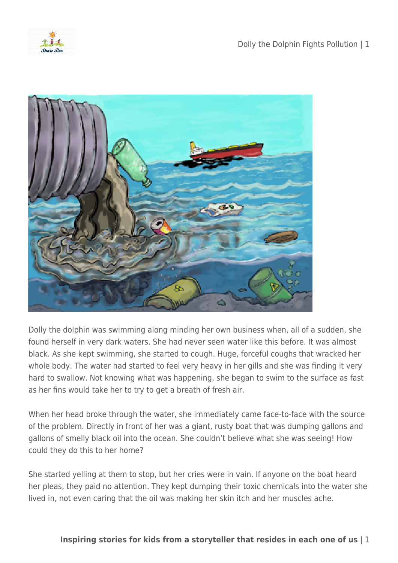



Dolly the dolphin was swimming along minding her own business when, all of a sudden, she found herself in very dark waters. She had never seen water like this before. It was almost black. As she kept swimming, she started to cough. Huge, forceful coughs that wracked her whole body. The water had started to feel very heavy in her gills and she was finding it very hard to swallow. Not knowing what was happening, she began to swim to the surface as fast as her fins would take her to try to get a breath of fresh air.

When her head broke through the water, she immediately came face-to-face with the source of the problem. Directly in front of her was a giant, rusty boat that was dumping gallons and gallons of smelly black oil into the ocean. She couldn't believe what she was seeing! How could they do this to her home?

She started yelling at them to stop, but her cries were in vain. If anyone on the boat heard her pleas, they paid no attention. They kept dumping their toxic chemicals into the water she lived in, not even caring that the oil was making her skin itch and her muscles ache.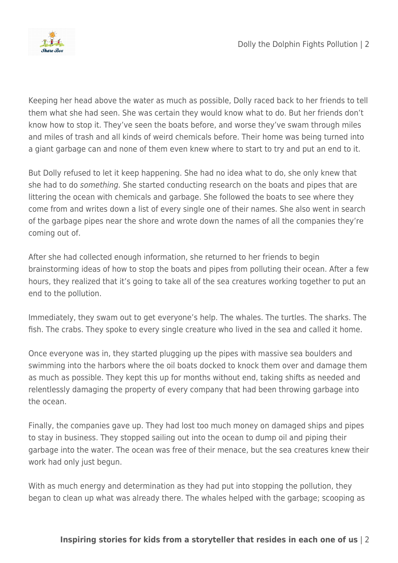

Keeping her head above the water as much as possible, Dolly raced back to her friends to tell them what she had seen. She was certain they would know what to do. But her friends don't know how to stop it. They've seen the boats before, and worse they've swam through miles and miles of trash and all kinds of weird chemicals before. Their home was being turned into a giant garbage can and none of them even knew where to start to try and put an end to it.

But Dolly refused to let it keep happening. She had no idea what to do, she only knew that she had to do something. She started conducting research on the boats and pipes that are littering the ocean with chemicals and garbage. She followed the boats to see where they come from and writes down a list of every single one of their names. She also went in search of the garbage pipes near the shore and wrote down the names of all the companies they're coming out of.

After she had collected enough information, she returned to her friends to begin brainstorming ideas of how to stop the boats and pipes from polluting their ocean. After a few hours, they realized that it's going to take all of the sea creatures working together to put an end to the pollution.

Immediately, they swam out to get everyone's help. The whales. The turtles. The sharks. The fish. The crabs. They spoke to every single creature who lived in the sea and called it home.

Once everyone was in, they started plugging up the pipes with massive sea boulders and swimming into the harbors where the oil boats docked to knock them over and damage them as much as possible. They kept this up for months without end, taking shifts as needed and relentlessly damaging the property of every company that had been throwing garbage into the ocean.

Finally, the companies gave up. They had lost too much money on damaged ships and pipes to stay in business. They stopped sailing out into the ocean to dump oil and piping their garbage into the water. The ocean was free of their menace, but the sea creatures knew their work had only just begun.

With as much energy and determination as they had put into stopping the pollution, they began to clean up what was already there. The whales helped with the garbage; scooping as